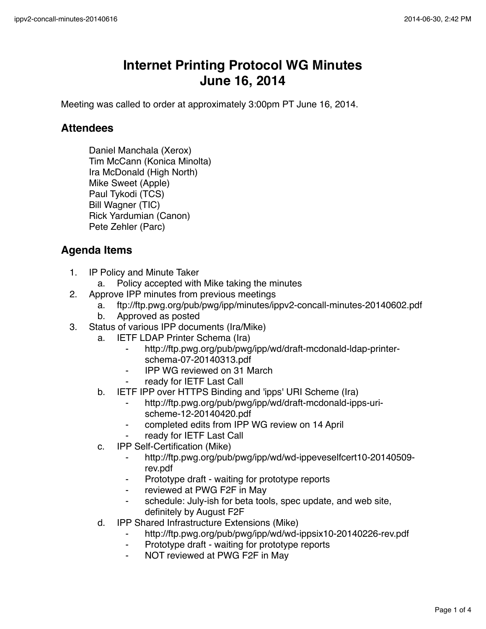## **Internet Printing Protocol WG Minutes June 16, 2014**

Meeting was called to order at approximately 3:00pm PT June 16, 2014.

## **Attendees**

Daniel Manchala (Xerox) Tim McCann (Konica Minolta) Ira McDonald (High North) Mike Sweet (Apple) Paul Tykodi (TCS) Bill Wagner (TIC) Rick Yardumian (Canon) Pete Zehler (Parc)

## **Agenda Items**

- 1. IP Policy and Minute Taker
	- a. Policy accepted with Mike taking the minutes
- 2. Approve IPP minutes from previous meetings
	- a. ftp://ftp.pwg.org/pub/pwg/ipp/minutes/ippv2-concall-minutes-20140602.pdf
	- b. Approved as posted
- 3. Status of various IPP documents (Ira/Mike)
	- a. IETF LDAP Printer Schema (Ira)
		- http://ftp.pwg.org/pub/pwg/ipp/wd/draft-mcdonald-ldap-printerschema-07-20140313.pdf
		- ⁃ IPP WG reviewed on 31 March
		- ready for IETF Last Call
	- b. IETF IPP over HTTPS Binding and 'ipps' URI Scheme (Ira)
		- ⁃ http://ftp.pwg.org/pub/pwg/ipp/wd/draft-mcdonald-ipps-urischeme-12-20140420.pdf
		- ⁃ completed edits from IPP WG review on 14 April
		- ready for IETF Last Call
	- c. IPP Self-Certification (Mike)
		- ⁃ http://ftp.pwg.org/pub/pwg/ipp/wd/wd-ippeveselfcert10-20140509 rev.pdf
		- ⁃ Prototype draft waiting for prototype reports
		- ⁃ reviewed at PWG F2F in May
		- schedule: July-ish for beta tools, spec update, and web site, definitely by August F2F
	- d. IPP Shared Infrastructure Extensions (Mike)
		- ⁃ http://ftp.pwg.org/pub/pwg/ipp/wd/wd-ippsix10-20140226-rev.pdf
		- Prototype draft waiting for prototype reports
		- NOT reviewed at PWG F2F in May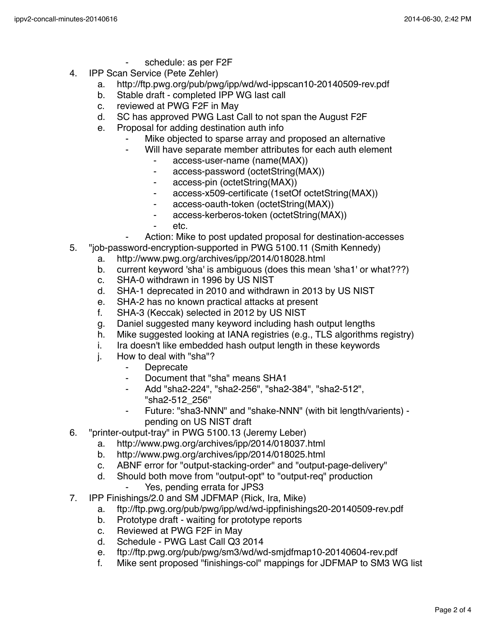- schedule: as per F2F
- 4. IPP Scan Service (Pete Zehler)
	- a. http://ftp.pwg.org/pub/pwg/ipp/wd/wd-ippscan10-20140509-rev.pdf
	- b. Stable draft completed IPP WG last call
	- c. reviewed at PWG F2F in May<br>d. SC has approved PWG Last 0
	- SC has approved PWG Last Call to not span the August F2F
	- e. Proposal for adding destination auth info
		- Mike objected to sparse array and proposed an alternative
		- Will have separate member attributes for each auth element
			- access-user-name (name(MAX))
			- ⁃ access-password (octetString(MAX))
			- access-pin (octetString(MAX))
			- ⁃ access-x509-certificate (1setOf octetString(MAX))
			- access-oauth-token (octetString(MAX))
			- ⁃ access-kerberos-token (octetString(MAX))
			- ⁃ etc.
			- Action: Mike to post updated proposal for destination-accesses
- 5. "job-password-encryption-supported in PWG 5100.11 (Smith Kennedy)
	- a. http://www.pwg.org/archives/ipp/2014/018028.html
	- b. current keyword 'sha' is ambiguous (does this mean 'sha1' or what???)
	- c. SHA-0 withdrawn in 1996 by US NIST
	- d. SHA-1 deprecated in 2010 and withdrawn in 2013 by US NIST
	- e. SHA-2 has no known practical attacks at present
	- f. SHA-3 (Keccak) selected in 2012 by US NIST
	- g. Daniel suggested many keyword including hash output lengths
	- h. Mike suggested looking at IANA registries (e.g., TLS algorithms registry)
	- i. Ira doesn't like embedded hash output length in these keywords
	- j. How to deal with "sha"?
		- ⁃ Deprecate
		- ⁃ Document that "sha" means SHA1
		- ⁃ Add "sha2-224", "sha2-256", "sha2-384", "sha2-512", "sha2-512\_256"
		- Future: "sha3-NNN" and "shake-NNN" (with bit length/varients) pending on US NIST draft
- 6. "printer-output-tray" in PWG 5100.13 (Jeremy Leber)
	- a. http://www.pwg.org/archives/ipp/2014/018037.html
	- b. http://www.pwg.org/archives/ipp/2014/018025.html
	- c. ABNF error for "output-stacking-order" and "output-page-delivery"
	- d. Should both move from "output-opt" to "output-req" production
		- Yes, pending errata for JPS3
- 7. IPP Finishings/2.0 and SM JDFMAP (Rick, Ira, Mike)
	- a. ftp://ftp.pwg.org/pub/pwg/ipp/wd/wd-ippfinishings20-20140509-rev.pdf
	- b. Prototype draft waiting for prototype reports
	- c. Reviewed at PWG F2F in May
	- d. Schedule PWG Last Call Q3 2014
	- e. ftp://ftp.pwg.org/pub/pwg/sm3/wd/wd-smjdfmap10-20140604-rev.pdf
	- f. Mike sent proposed "finishings-col" mappings for JDFMAP to SM3 WG list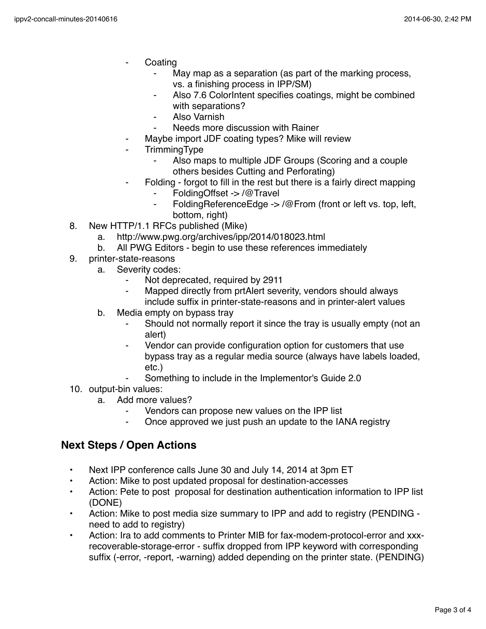- **Coating** 
	- May map as a separation (as part of the marking process, vs. a finishing process in IPP/SM)
	- Also 7.6 ColorIntent specifies coatings, might be combined with separations?
	- ⁃ Also Varnish
	- Needs more discussion with Rainer
- Maybe import JDF coating types? Mike will review
- **TrimmingType** 
	- Also maps to multiple JDF Groups (Scoring and a couple others besides Cutting and Perforating)
- Folding forgot to fill in the rest but there is a fairly direct mapping
	- FoldingOffset -> /@Travel
	- FoldingReferenceEdge -> /@From (front or left vs. top, left, bottom, right)
- 8. New HTTP/1.1 RFCs published (Mike)
	- a. http://www.pwg.org/archives/ipp/2014/018023.html
	- b. All PWG Editors begin to use these references immediately
- 9. printer-state-reasons
	- a. Severity codes:
		- Not deprecated, required by 2911
		- ⁃ Mapped directly from prtAlert severity, vendors should always include suffix in printer-state-reasons and in printer-alert values
	- b. Media empty on bypass tray
		- Should not normally report it since the tray is usually empty (not an alert)
		- ⁃ Vendor can provide configuration option for customers that use bypass tray as a regular media source (always have labels loaded, etc.)
		- Something to include in the Implementor's Guide 2.0
- 10. output-bin values:
	- a. Add more values?
		- Vendors can propose new values on the IPP list
		- ⁃ Once approved we just push an update to the IANA registry

## **Next Steps / Open Actions**

- Next IPP conference calls June 30 and July 14, 2014 at 3pm ET
- Action: Mike to post updated proposal for destination-accesses
- Action: Pete to post proposal for destination authentication information to IPP list (DONE)
- Action: Mike to post media size summary to IPP and add to registry (PENDING need to add to registry)
- Action: Ira to add comments to Printer MIB for fax-modem-protocol-error and xxxrecoverable-storage-error - suffix dropped from IPP keyword with corresponding suffix (-error, -report, -warning) added depending on the printer state. (PENDING)